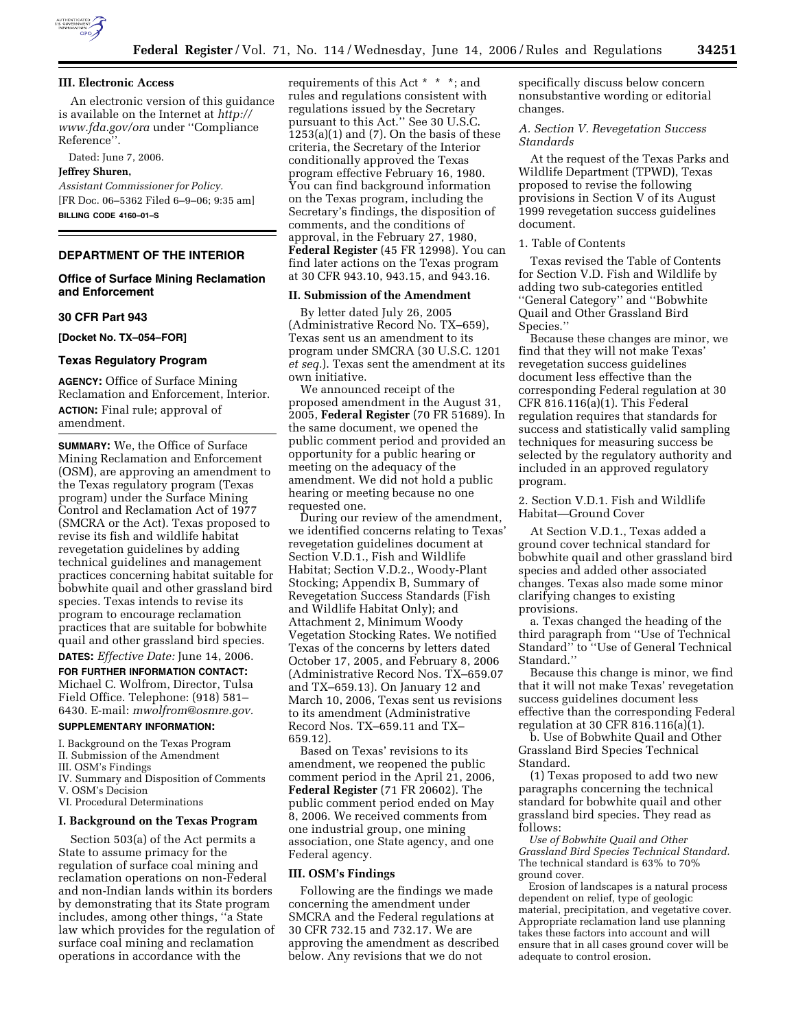

# **III. Electronic Access**

An electronic version of this guidance is available on the Internet at *http:// www.fda.gov/ora* under ''Compliance Reference''.

Dated: June 7, 2006.

# **Jeffrey Shuren,**

*Assistant Commissioner for Policy.*  [FR Doc. 06–5362 Filed 6–9–06; 9:35 am] **BILLING CODE 4160–01–S** 

# **DEPARTMENT OF THE INTERIOR**

# **Office of Surface Mining Reclamation and Enforcement**

### **30 CFR Part 943**

**[Docket No. TX–054–FOR]** 

### **Texas Regulatory Program**

**AGENCY:** Office of Surface Mining Reclamation and Enforcement, Interior. **ACTION:** Final rule; approval of amendment.

**SUMMARY:** We, the Office of Surface Mining Reclamation and Enforcement (OSM), are approving an amendment to the Texas regulatory program (Texas program) under the Surface Mining Control and Reclamation Act of 1977 (SMCRA or the Act). Texas proposed to revise its fish and wildlife habitat revegetation guidelines by adding technical guidelines and management practices concerning habitat suitable for bobwhite quail and other grassland bird species. Texas intends to revise its program to encourage reclamation practices that are suitable for bobwhite quail and other grassland bird species.

**DATES:** *Effective Date:* June 14, 2006.

**FOR FURTHER INFORMATION CONTACT:**  Michael C. Wolfrom, Director, Tulsa Field Office. Telephone: (918) 581– 6430. E-mail: *mwolfrom@osmre.gov.* 

#### **SUPPLEMENTARY INFORMATION:**

I. Background on the Texas Program

II. Submission of the Amendment

- III. OSM's Findings
- IV. Summary and Disposition of Comments
- V. OSM's Decision

VI. Procedural Determinations

# **I. Background on the Texas Program**

Section 503(a) of the Act permits a State to assume primacy for the regulation of surface coal mining and reclamation operations on non-Federal and non-Indian lands within its borders by demonstrating that its State program includes, among other things, ''a State law which provides for the regulation of surface coal mining and reclamation operations in accordance with the

requirements of this Act \* \* \*; and rules and regulations consistent with regulations issued by the Secretary pursuant to this Act.'' See 30 U.S.C.  $1253(a)(1)$  and (7). On the basis of these criteria, the Secretary of the Interior conditionally approved the Texas program effective February 16, 1980. You can find background information on the Texas program, including the Secretary's findings, the disposition of comments, and the conditions of approval, in the February 27, 1980, **Federal Register** (45 FR 12998). You can find later actions on the Texas program at 30 CFR 943.10, 943.15, and 943.16.

#### **II. Submission of the Amendment**

By letter dated July 26, 2005 (Administrative Record No. TX–659), Texas sent us an amendment to its program under SMCRA (30 U.S.C. 1201 *et seq.*). Texas sent the amendment at its own initiative.

We announced receipt of the proposed amendment in the August 31, 2005, **Federal Register** (70 FR 51689). In the same document, we opened the public comment period and provided an opportunity for a public hearing or meeting on the adequacy of the amendment. We did not hold a public hearing or meeting because no one requested one.

During our review of the amendment, we identified concerns relating to Texas' revegetation guidelines document at Section V.D.1., Fish and Wildlife Habitat; Section V.D.2., Woody-Plant Stocking; Appendix B, Summary of Revegetation Success Standards (Fish and Wildlife Habitat Only); and Attachment 2, Minimum Woody Vegetation Stocking Rates. We notified Texas of the concerns by letters dated October 17, 2005, and February 8, 2006 (Administrative Record Nos. TX–659.07 and TX–659.13). On January 12 and March 10, 2006, Texas sent us revisions to its amendment (Administrative Record Nos. TX–659.11 and TX– 659.12).

Based on Texas' revisions to its amendment, we reopened the public comment period in the April 21, 2006, **Federal Register** (71 FR 20602). The public comment period ended on May 8, 2006. We received comments from one industrial group, one mining association, one State agency, and one Federal agency.

#### **III. OSM's Findings**

Following are the findings we made concerning the amendment under SMCRA and the Federal regulations at 30 CFR 732.15 and 732.17. We are approving the amendment as described below. Any revisions that we do not

specifically discuss below concern nonsubstantive wording or editorial changes.

## *A. Section V. Revegetation Success Standards*

At the request of the Texas Parks and Wildlife Department (TPWD), Texas proposed to revise the following provisions in Section V of its August 1999 revegetation success guidelines document.

## 1. Table of Contents

Texas revised the Table of Contents for Section V.D. Fish and Wildlife by adding two sub-categories entitled ''General Category'' and ''Bobwhite Quail and Other Grassland Bird Species.''

Because these changes are minor, we find that they will not make Texas' revegetation success guidelines document less effective than the corresponding Federal regulation at 30 CFR 816.116(a)(1). This Federal regulation requires that standards for success and statistically valid sampling techniques for measuring success be selected by the regulatory authority and included in an approved regulatory program.

2. Section V.D.1. Fish and Wildlife Habitat—Ground Cover

At Section V.D.1., Texas added a ground cover technical standard for bobwhite quail and other grassland bird species and added other associated changes. Texas also made some minor clarifying changes to existing provisions.

a. Texas changed the heading of the third paragraph from ''Use of Technical Standard'' to ''Use of General Technical Standard.''

Because this change is minor, we find that it will not make Texas' revegetation success guidelines document less effective than the corresponding Federal regulation at 30 CFR 816.116(a)(1).

b. Use of Bobwhite Quail and Other Grassland Bird Species Technical Standard.

(1) Texas proposed to add two new paragraphs concerning the technical standard for bobwhite quail and other grassland bird species. They read as follows:

*Use of Bobwhite Quail and Other Grassland Bird Species Technical Standard.*  The technical standard is 63% to 70% ground cover.

Erosion of landscapes is a natural process dependent on relief, type of geologic material, precipitation, and vegetative cover. Appropriate reclamation land use planning takes these factors into account and will ensure that in all cases ground cover will be adequate to control erosion.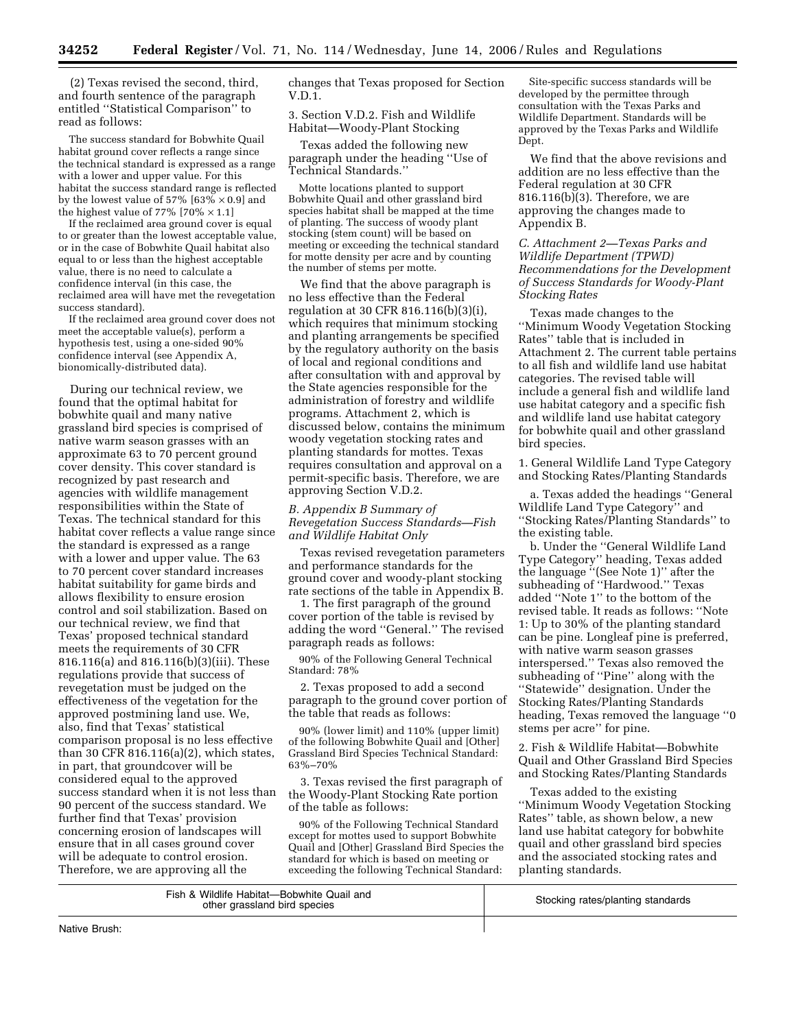(2) Texas revised the second, third, and fourth sentence of the paragraph entitled ''Statistical Comparison'' to read as follows:

The success standard for Bobwhite Quail habitat ground cover reflects a range since the technical standard is expressed as a range with a lower and upper value. For this habitat the success standard range is reflected by the lowest value of 57% [63%  $\times$  0.9] and the highest value of 77%  $[70\% \times 1.1]$ 

If the reclaimed area ground cover is equal to or greater than the lowest acceptable value, or in the case of Bobwhite Quail habitat also equal to or less than the highest acceptable value, there is no need to calculate a confidence interval (in this case, the reclaimed area will have met the revegetation success standard).

If the reclaimed area ground cover does not meet the acceptable value(s), perform a hypothesis test, using a one-sided 90% confidence interval (see Appendix A, bionomically-distributed data).

During our technical review, we found that the optimal habitat for bobwhite quail and many native grassland bird species is comprised of native warm season grasses with an approximate 63 to 70 percent ground cover density. This cover standard is recognized by past research and agencies with wildlife management responsibilities within the State of Texas. The technical standard for this habitat cover reflects a value range since the standard is expressed as a range with a lower and upper value. The 63 to 70 percent cover standard increases habitat suitability for game birds and allows flexibility to ensure erosion control and soil stabilization. Based on our technical review, we find that Texas' proposed technical standard meets the requirements of 30 CFR 816.116(a) and 816.116(b)(3)(iii). These regulations provide that success of revegetation must be judged on the effectiveness of the vegetation for the approved postmining land use. We, also, find that Texas' statistical comparison proposal is no less effective than 30 CFR 816.116(a)(2), which states, in part, that groundcover will be considered equal to the approved success standard when it is not less than 90 percent of the success standard. We further find that Texas' provision concerning erosion of landscapes will ensure that in all cases ground cover will be adequate to control erosion. Therefore, we are approving all the

changes that Texas proposed for Section V.D.1.

3. Section V.D.2. Fish and Wildlife Habitat—Woody-Plant Stocking

Texas added the following new paragraph under the heading ''Use of Technical Standards.''

Motte locations planted to support Bobwhite Quail and other grassland bird species habitat shall be mapped at the time of planting. The success of woody plant stocking (stem count) will be based on meeting or exceeding the technical standard for motte density per acre and by counting the number of stems per motte.

We find that the above paragraph is no less effective than the Federal regulation at 30 CFR 816.116(b)(3)(i), which requires that minimum stocking and planting arrangements be specified by the regulatory authority on the basis of local and regional conditions and after consultation with and approval by the State agencies responsible for the administration of forestry and wildlife programs. Attachment 2, which is discussed below, contains the minimum woody vegetation stocking rates and planting standards for mottes. Texas requires consultation and approval on a permit-specific basis. Therefore, we are approving Section V.D.2.

# *B. Appendix B Summary of Revegetation Success Standards—Fish and Wildlife Habitat Only*

Texas revised revegetation parameters and performance standards for the ground cover and woody-plant stocking rate sections of the table in Appendix B.

1. The first paragraph of the ground cover portion of the table is revised by adding the word ''General.'' The revised paragraph reads as follows:

90% of the Following General Technical Standard: 78%

2. Texas proposed to add a second paragraph to the ground cover portion of the table that reads as follows:

90% (lower limit) and 110% (upper limit) of the following Bobwhite Quail and [Other] Grassland Bird Species Technical Standard: 63%–70%

3. Texas revised the first paragraph of the Woody-Plant Stocking Rate portion of the table as follows:

90% of the Following Technical Standard except for mottes used to support Bobwhite Quail and [Other] Grassland Bird Species the standard for which is based on meeting or exceeding the following Technical Standard:

Site-specific success standards will be developed by the permittee through consultation with the Texas Parks and Wildlife Department. Standards will be approved by the Texas Parks and Wildlife Dept.

We find that the above revisions and addition are no less effective than the Federal regulation at 30 CFR 816.116(b)(3). Therefore, we are approving the changes made to Appendix B.

*C. Attachment 2—Texas Parks and Wildlife Department (TPWD) Recommendations for the Development of Success Standards for Woody-Plant Stocking Rates* 

Texas made changes to the ''Minimum Woody Vegetation Stocking Rates'' table that is included in Attachment 2. The current table pertains to all fish and wildlife land use habitat categories. The revised table will include a general fish and wildlife land use habitat category and a specific fish and wildlife land use habitat category for bobwhite quail and other grassland bird species.

1. General Wildlife Land Type Category and Stocking Rates/Planting Standards

a. Texas added the headings ''General Wildlife Land Type Category'' and ''Stocking Rates/Planting Standards'' to the existing table.

b. Under the ''General Wildlife Land Type Category'' heading, Texas added the language ''(See Note 1)'' after the subheading of ''Hardwood.'' Texas added ''Note 1'' to the bottom of the revised table. It reads as follows: ''Note 1: Up to 30% of the planting standard can be pine. Longleaf pine is preferred, with native warm season grasses interspersed.'' Texas also removed the subheading of ''Pine'' along with the ''Statewide'' designation. Under the Stocking Rates/Planting Standards heading, Texas removed the language ''0 stems per acre'' for pine.

2. Fish & Wildlife Habitat—Bobwhite Quail and Other Grassland Bird Species and Stocking Rates/Planting Standards

Texas added to the existing ''Minimum Woody Vegetation Stocking Rates'' table, as shown below, a new land use habitat category for bobwhite quail and other grassland bird species and the associated stocking rates and planting standards.

| Fish & Wildlife Habitat-Bobwhite Quail and<br>other grassland bird species | Stocking rates/planting standards |
|----------------------------------------------------------------------------|-----------------------------------|
|----------------------------------------------------------------------------|-----------------------------------|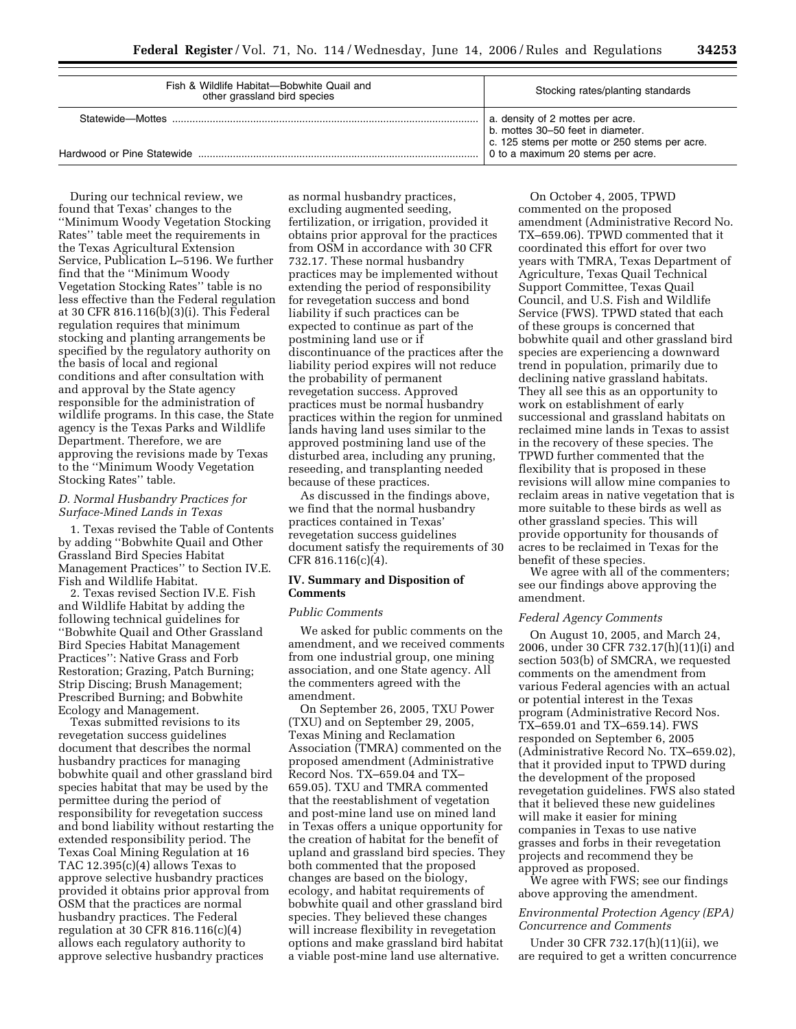| Fish & Wildlife Habitat-Bobwhite Quail and<br>other grassland bird species | Stocking rates/planting standards                                                  |  |
|----------------------------------------------------------------------------|------------------------------------------------------------------------------------|--|
| Statewide-Mottes                                                           | a. density of 2 mottes per acre.<br>b. mottes 30-50 feet in diameter.              |  |
| Hardwood or Pine Statewide                                                 | c. 125 stems per motte or 250 stems per acre.<br>0 to a maximum 20 stems per acre. |  |

During our technical review, we found that Texas' changes to the ''Minimum Woody Vegetation Stocking Rates'' table meet the requirements in the Texas Agricultural Extension Service, Publication L–5196. We further find that the ''Minimum Woody Vegetation Stocking Rates'' table is no less effective than the Federal regulation at 30 CFR 816.116(b)(3)(i). This Federal regulation requires that minimum stocking and planting arrangements be specified by the regulatory authority on the basis of local and regional conditions and after consultation with and approval by the State agency responsible for the administration of wildlife programs. In this case, the State agency is the Texas Parks and Wildlife Department. Therefore, we are approving the revisions made by Texas to the ''Minimum Woody Vegetation Stocking Rates'' table.

## *D. Normal Husbandry Practices for Surface-Mined Lands in Texas*

1. Texas revised the Table of Contents by adding ''Bobwhite Quail and Other Grassland Bird Species Habitat Management Practices'' to Section IV.E. Fish and Wildlife Habitat.

2. Texas revised Section IV.E. Fish and Wildlife Habitat by adding the following technical guidelines for ''Bobwhite Quail and Other Grassland Bird Species Habitat Management Practices'': Native Grass and Forb Restoration; Grazing, Patch Burning; Strip Discing; Brush Management; Prescribed Burning; and Bobwhite Ecology and Management.

Texas submitted revisions to its revegetation success guidelines document that describes the normal husbandry practices for managing bobwhite quail and other grassland bird species habitat that may be used by the permittee during the period of responsibility for revegetation success and bond liability without restarting the extended responsibility period. The Texas Coal Mining Regulation at 16 TAC 12.395(c)(4) allows Texas to approve selective husbandry practices provided it obtains prior approval from OSM that the practices are normal husbandry practices. The Federal regulation at 30 CFR 816.116(c)(4) allows each regulatory authority to approve selective husbandry practices

as normal husbandry practices, excluding augmented seeding, fertilization, or irrigation, provided it obtains prior approval for the practices from OSM in accordance with 30 CFR 732.17. These normal husbandry practices may be implemented without extending the period of responsibility for revegetation success and bond liability if such practices can be expected to continue as part of the postmining land use or if discontinuance of the practices after the liability period expires will not reduce the probability of permanent revegetation success. Approved practices must be normal husbandry practices within the region for unmined lands having land uses similar to the approved postmining land use of the disturbed area, including any pruning, reseeding, and transplanting needed because of these practices.

As discussed in the findings above, we find that the normal husbandry practices contained in Texas' revegetation success guidelines document satisfy the requirements of 30 CFR 816.116(c)(4).

# **IV. Summary and Disposition of Comments**

#### *Public Comments*

We asked for public comments on the amendment, and we received comments from one industrial group, one mining association, and one State agency. All the commenters agreed with the amendment.

On September 26, 2005, TXU Power (TXU) and on September 29, 2005, Texas Mining and Reclamation Association (TMRA) commented on the proposed amendment (Administrative Record Nos. TX–659.04 and TX– 659.05). TXU and TMRA commented that the reestablishment of vegetation and post-mine land use on mined land in Texas offers a unique opportunity for the creation of habitat for the benefit of upland and grassland bird species. They both commented that the proposed changes are based on the biology, ecology, and habitat requirements of bobwhite quail and other grassland bird species. They believed these changes will increase flexibility in revegetation options and make grassland bird habitat a viable post-mine land use alternative.

On October 4, 2005, TPWD commented on the proposed amendment (Administrative Record No. TX–659.06). TPWD commented that it coordinated this effort for over two years with TMRA, Texas Department of Agriculture, Texas Quail Technical Support Committee, Texas Quail Council, and U.S. Fish and Wildlife Service (FWS). TPWD stated that each of these groups is concerned that bobwhite quail and other grassland bird species are experiencing a downward trend in population, primarily due to declining native grassland habitats. They all see this as an opportunity to work on establishment of early successional and grassland habitats on reclaimed mine lands in Texas to assist in the recovery of these species. The TPWD further commented that the flexibility that is proposed in these revisions will allow mine companies to reclaim areas in native vegetation that is more suitable to these birds as well as other grassland species. This will provide opportunity for thousands of acres to be reclaimed in Texas for the benefit of these species.

We agree with all of the commenters; see our findings above approving the amendment.

# *Federal Agency Comments*

On August 10, 2005, and March 24, 2006, under 30 CFR 732.17(h)(11)(i) and section 503(b) of SMCRA, we requested comments on the amendment from various Federal agencies with an actual or potential interest in the Texas program (Administrative Record Nos. TX–659.01 and TX–659.14). FWS responded on September 6, 2005 (Administrative Record No. TX–659.02), that it provided input to TPWD during the development of the proposed revegetation guidelines. FWS also stated that it believed these new guidelines will make it easier for mining companies in Texas to use native grasses and forbs in their revegetation projects and recommend they be approved as proposed.

We agree with FWS; see our findings above approving the amendment.

# *Environmental Protection Agency (EPA) Concurrence and Comments*

Under 30 CFR 732.17(h)(11)(ii), we are required to get a written concurrence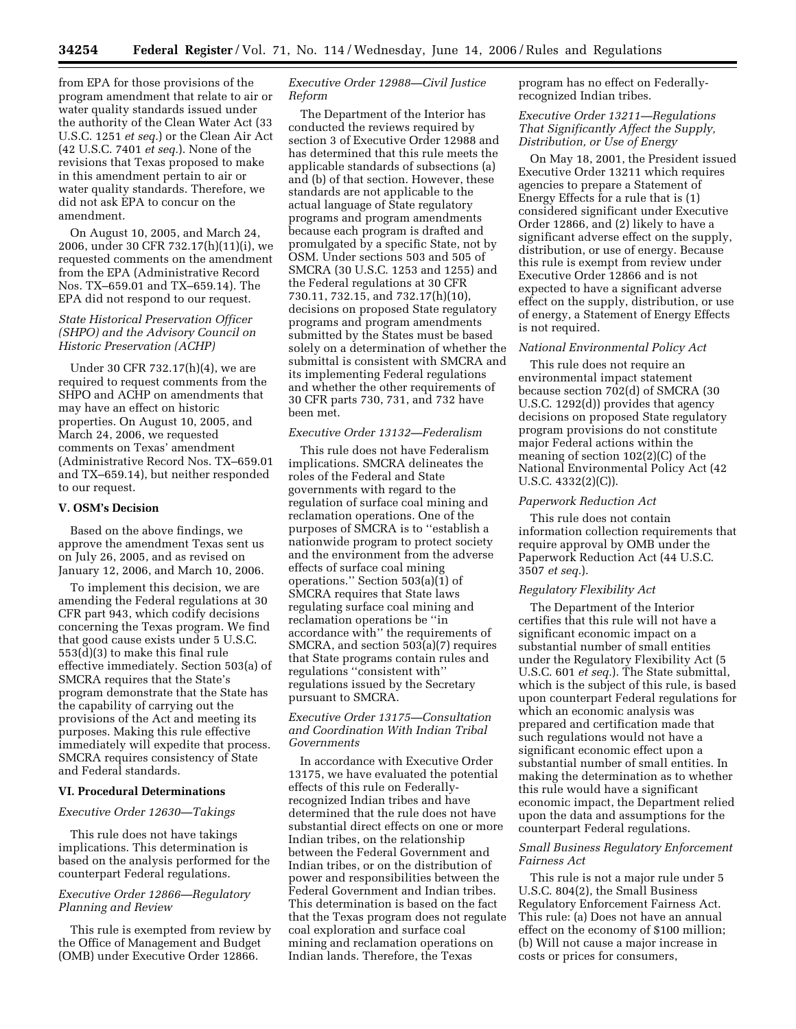from EPA for those provisions of the program amendment that relate to air or water quality standards issued under the authority of the Clean Water Act (33 U.S.C. 1251 *et seq.*) or the Clean Air Act (42 U.S.C. 7401 *et seq.*). None of the revisions that Texas proposed to make in this amendment pertain to air or water quality standards. Therefore, we did not ask EPA to concur on the amendment.

On August 10, 2005, and March 24, 2006, under 30 CFR 732.17(h)(11)(i), we requested comments on the amendment from the EPA (Administrative Record Nos. TX–659.01 and TX–659.14). The EPA did not respond to our request.

# *State Historical Preservation Officer (SHPO) and the Advisory Council on Historic Preservation (ACHP)*

Under 30 CFR 732.17(h)(4), we are required to request comments from the SHPO and ACHP on amendments that may have an effect on historic properties. On August 10, 2005, and March 24, 2006, we requested comments on Texas' amendment (Administrative Record Nos. TX–659.01 and TX–659.14), but neither responded to our request.

### **V. OSM's Decision**

Based on the above findings, we approve the amendment Texas sent us on July 26, 2005, and as revised on January 12, 2006, and March 10, 2006.

To implement this decision, we are amending the Federal regulations at 30 CFR part 943, which codify decisions concerning the Texas program. We find that good cause exists under 5 U.S.C. 553(d)(3) to make this final rule effective immediately. Section 503(a) of SMCRA requires that the State's program demonstrate that the State has the capability of carrying out the provisions of the Act and meeting its purposes. Making this rule effective immediately will expedite that process. SMCRA requires consistency of State and Federal standards.

# **VI. Procedural Determinations**

# *Executive Order 12630—Takings*

This rule does not have takings implications. This determination is based on the analysis performed for the counterpart Federal regulations.

# *Executive Order 12866—Regulatory Planning and Review*

This rule is exempted from review by the Office of Management and Budget (OMB) under Executive Order 12866.

# *Executive Order 12988—Civil Justice Reform*

The Department of the Interior has conducted the reviews required by section 3 of Executive Order 12988 and has determined that this rule meets the applicable standards of subsections (a) and (b) of that section. However, these standards are not applicable to the actual language of State regulatory programs and program amendments because each program is drafted and promulgated by a specific State, not by OSM. Under sections 503 and 505 of SMCRA (30 U.S.C. 1253 and 1255) and the Federal regulations at 30 CFR 730.11, 732.15, and 732.17(h)(10), decisions on proposed State regulatory programs and program amendments submitted by the States must be based solely on a determination of whether the submittal is consistent with SMCRA and its implementing Federal regulations and whether the other requirements of 30 CFR parts 730, 731, and 732 have been met.

### *Executive Order 13132—Federalism*

This rule does not have Federalism implications. SMCRA delineates the roles of the Federal and State governments with regard to the regulation of surface coal mining and reclamation operations. One of the purposes of SMCRA is to ''establish a nationwide program to protect society and the environment from the adverse effects of surface coal mining operations.'' Section 503(a)(1) of SMCRA requires that State laws regulating surface coal mining and reclamation operations be ''in accordance with'' the requirements of SMCRA, and section 503(a)(7) requires that State programs contain rules and regulations ''consistent with'' regulations issued by the Secretary pursuant to SMCRA.

# *Executive Order 13175—Consultation and Coordination With Indian Tribal Governments*

In accordance with Executive Order 13175, we have evaluated the potential effects of this rule on Federallyrecognized Indian tribes and have determined that the rule does not have substantial direct effects on one or more Indian tribes, on the relationship between the Federal Government and Indian tribes, or on the distribution of power and responsibilities between the Federal Government and Indian tribes. This determination is based on the fact that the Texas program does not regulate coal exploration and surface coal mining and reclamation operations on Indian lands. Therefore, the Texas

program has no effect on Federallyrecognized Indian tribes.

# *Executive Order 13211—Regulations That Significantly Affect the Supply, Distribution, or Use of Energy*

On May 18, 2001, the President issued Executive Order 13211 which requires agencies to prepare a Statement of Energy Effects for a rule that is (1) considered significant under Executive Order 12866, and (2) likely to have a significant adverse effect on the supply, distribution, or use of energy. Because this rule is exempt from review under Executive Order 12866 and is not expected to have a significant adverse effect on the supply, distribution, or use of energy, a Statement of Energy Effects is not required.

# *National Environmental Policy Act*

This rule does not require an environmental impact statement because section 702(d) of SMCRA (30 U.S.C. 1292(d)) provides that agency decisions on proposed State regulatory program provisions do not constitute major Federal actions within the meaning of section 102(2)(C) of the National Environmental Policy Act (42 U.S.C. 4332(2)(C)).

### *Paperwork Reduction Act*

This rule does not contain information collection requirements that require approval by OMB under the Paperwork Reduction Act (44 U.S.C. 3507 *et seq.*).

#### *Regulatory Flexibility Act*

The Department of the Interior certifies that this rule will not have a significant economic impact on a substantial number of small entities under the Regulatory Flexibility Act (5 U.S.C. 601 *et seq.*). The State submittal, which is the subject of this rule, is based upon counterpart Federal regulations for which an economic analysis was prepared and certification made that such regulations would not have a significant economic effect upon a substantial number of small entities. In making the determination as to whether this rule would have a significant economic impact, the Department relied upon the data and assumptions for the counterpart Federal regulations.

# *Small Business Regulatory Enforcement Fairness Act*

This rule is not a major rule under 5 U.S.C. 804(2), the Small Business Regulatory Enforcement Fairness Act. This rule: (a) Does not have an annual effect on the economy of \$100 million; (b) Will not cause a major increase in costs or prices for consumers,